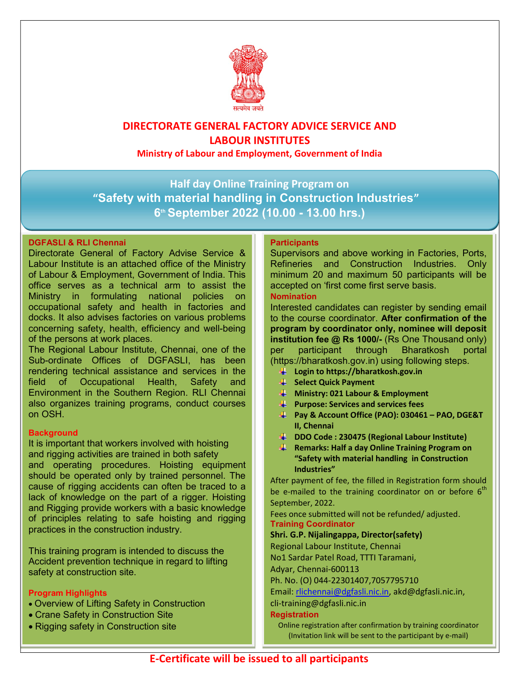

## DIRECTORATE GENERAL FACTORY ADVICE SERVICE AND LABOUR INSTITUTES

Ministry of Labour and Employment, Government of India

Half day Online Training Program on "Safety with material handling in Construction Industries" 6 th September 2022 (10.00 - 13.00 hrs.)

## DGFASLI & RLI Chennai

Directorate General of Factory Advise Service & Labour Institute is an attached office of the Ministry of Labour & Employment, Government of India. This office serves as a technical arm to assist the Ministry in formulating national policies on occupational safety and health in factories and docks. It also advises factories on various problems concerning safety, health, efficiency and well-being of the persons at work places.

The Regional Labour Institute, Chennai, one of the Sub-ordinate Offices of DGFASLI, has been rendering technical assistance and services in the field of Occupational Health, Safety and Environment in the Southern Region. RLI Chennai also organizes training programs, conduct courses on OSH.

## **Background**

It is important that workers involved with hoisting and rigging activities are trained in both safety and operating procedures. Hoisting equipment should be operated only by trained personnel. The cause of rigging accidents can often be traced to a lack of knowledge on the part of a rigger. Hoisting and Rigging provide workers with a basic knowledge of principles relating to safe hoisting and rigging practices in the construction industry.

This training program is intended to discuss the Accident prevention technique in regard to lifting safety at construction site.

## Program Highlights

- Overview of Lifting Safety in Construction
- Crane Safety in Construction Site
- Rigging safety in Construction site

### **Participants**

Supervisors and above working in Factories, Ports, Refineries and Construction Industries. Only minimum 20 and maximum 50 participants will be accepted on 'first come first serve basis.

## Nomination

Interested candidates can register by sending email to the course coordinator. After confirmation of the program by coordinator only, nominee will deposit institution fee @ Rs 1000/- (Rs One Thousand only) per participant through Bharatkosh portal (https://bharatkosh.gov.in) using following steps.

- $\downarrow$  Login to https://bharatkosh.gov.in
- **Select Quick Payment**
- $\downarrow$  Ministry: 021 Labour & Employment
- **Purpose: Services and services fees**
- Pay & Account Office (PAO): 030461 PAO, DGE&T II, Chennai
- **DDO Code: 230475 (Regional Labour Institute)**
- **F** Remarks: Half a day Online Training Program on "Safety with material handling in Construction Industries"

After payment of fee, the filled in Registration form should be e-mailed to the training coordinator on or before  $6<sup>th</sup>$ September, 2022.

Fees once submitted will not be refunded/ adjusted. Training Coordinator

#### Shri. G.P. Nijalingappa, Director(safety)

Regional Labour Institute, Chennai

No1 Sardar Patel Road, TTTI Taramani,

Adyar, Chennai-600113

Ph. No. (O) 044-22301407,7057795710

Email: rlichennai@dgfasli.nic.in, akd@dgfasli.nic.in,

## cli-training@dgfasli.nic.in

#### **Registration**

Online registration after confirmation by training coordinator (Invitation link will be sent to the participant by e-mail)